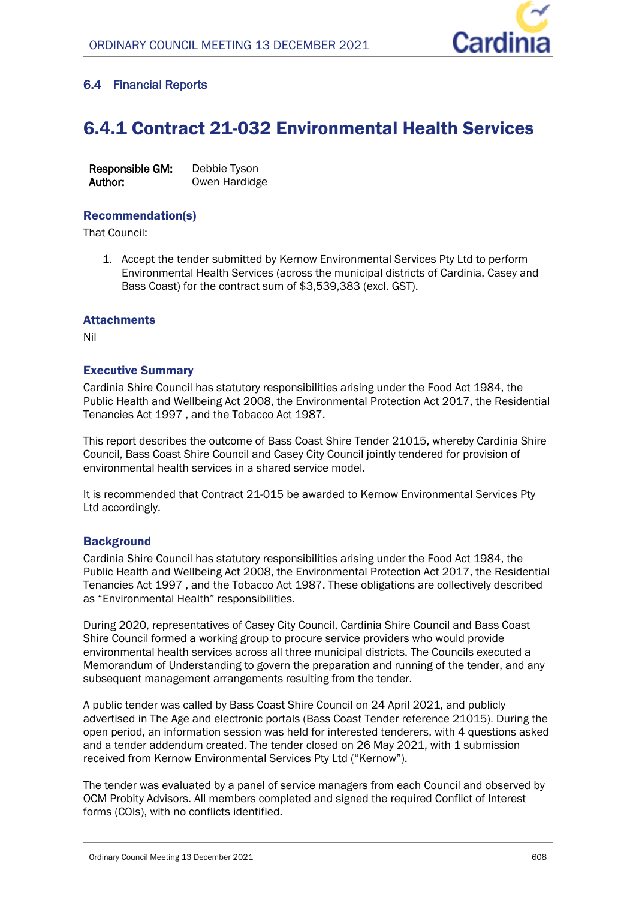

# **6.4 Financial Reports**

# 6.4.1 Contract 21-032 Environmental Health Services

**Responsible GM:** Debbie Tyson **Author:** Owen Hardidge

# Recommendation(s)

That Council:

1. Accept the tender submitted by Kernow Environmental Services Pty Ltd to perform Environmental Health Services (across the municipal districts of Cardinia, Casey and Bass Coast) for the contract sum of \$3,539,383 (excl. GST).

## **Attachments**

Nil

## Executive Summary

Cardinia Shire Council has statutory responsibilities arising under the Food Act 1984, the Public Health and Wellbeing Act 2008, the Environmental Protection Act 2017, the Residential Tenancies Act 1997 , and the Tobacco Act 1987.

This report describes the outcome of Bass Coast Shire Tender 21015, whereby Cardinia Shire Council, Bass Coast Shire Council and Casey City Council jointly tendered for provision of environmental health services in a shared service model.

It is recommended that Contract 21-015 be awarded to Kernow Environmental Services Pty Ltd accordingly.

## **Background**

Cardinia Shire Council has statutory responsibilities arising under the Food Act 1984, the Public Health and Wellbeing Act 2008, the Environmental Protection Act 2017, the Residential Tenancies Act 1997 , and the Tobacco Act 1987. These obligations are collectively described as "Environmental Health" responsibilities.

During 2020, representatives of Casey City Council, Cardinia Shire Council and Bass Coast Shire Council formed a working group to procure service providers who would provide environmental health services across all three municipal districts. The Councils executed a Memorandum of Understanding to govern the preparation and running of the tender, and any subsequent management arrangements resulting from the tender.

A public tender was called by Bass Coast Shire Council on 24 April 2021, and publicly advertised in The Age and electronic portals (Bass Coast Tender reference 21015). During the open period, an information session was held for interested tenderers, with 4 questions asked and a tender addendum created. The tender closed on 26 May 2021, with 1 submission received from Kernow Environmental Services Pty Ltd ("Kernow").

The tender was evaluated by a panel of service managers from each Council and observed by OCM Probity Advisors. All members completed and signed the required Conflict of Interest forms (COIs), with no conflicts identified.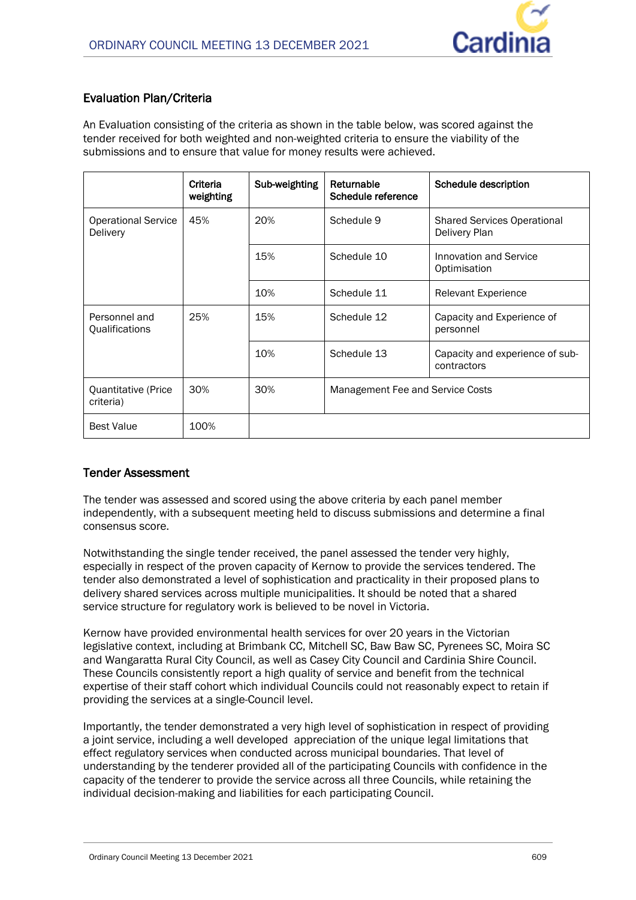# **Evaluation Plan/Criteria**

An Evaluation consisting of the criteria as shown in the table below, was scored against the tender received for both weighted and non-weighted criteria to ensure the viability of the submissions and to ensure that value for money results were achieved.

|                                        | Criteria<br>weighting | Sub-weighting | Returnable<br>Schedule reference | Schedule description                                |
|----------------------------------------|-----------------------|---------------|----------------------------------|-----------------------------------------------------|
| <b>Operational Service</b><br>Delivery | 45%                   | 20%           | Schedule 9                       | <b>Shared Services Operational</b><br>Delivery Plan |
|                                        |                       | 15%           | Schedule 10                      | Innovation and Service<br>Optimisation              |
|                                        |                       | 10%           | Schedule 11                      | <b>Relevant Experience</b>                          |
| Personnel and<br>Qualifications        | 25%                   | 15%           | Schedule 12                      | Capacity and Experience of<br>personnel             |
|                                        |                       | 10%           | Schedule 13                      | Capacity and experience of sub-<br>contractors      |
| Quantitative (Price<br>criteria)       | 30%                   | 30%           | Management Fee and Service Costs |                                                     |
| <b>Best Value</b>                      | 100%                  |               |                                  |                                                     |

## **Tender Assessment**

The tender was assessed and scored using the above criteria by each panel member independently, with a subsequent meeting held to discuss submissions and determine a final consensus score.

Notwithstanding the single tender received, the panel assessed the tender very highly, especially in respect of the proven capacity of Kernow to provide the services tendered. The tender also demonstrated a level of sophistication and practicality in their proposed plans to delivery shared services across multiple municipalities. It should be noted that a shared service structure for regulatory work is believed to be novel in Victoria.

Kernow have provided environmental health services for over 20 years in the Victorian legislative context, including at Brimbank CC, Mitchell SC, Baw Baw SC, Pyrenees SC, Moira SC and Wangaratta Rural City Council, as well as Casey City Council and Cardinia Shire Council. These Councils consistently report a high quality of service and benefit from the technical expertise of their staff cohort which individual Councils could not reasonably expect to retain if providing the services at a single-Council level.

Importantly, the tender demonstrated a very high level of sophistication in respect of providing a joint service, including a well developed appreciation of the unique legal limitations that effect regulatory services when conducted across municipal boundaries. That level of understanding by the tenderer provided all of the participating Councils with confidence in the capacity of the tenderer to provide the service across all three Councils, while retaining the individual decision-making and liabilities for each participating Council.